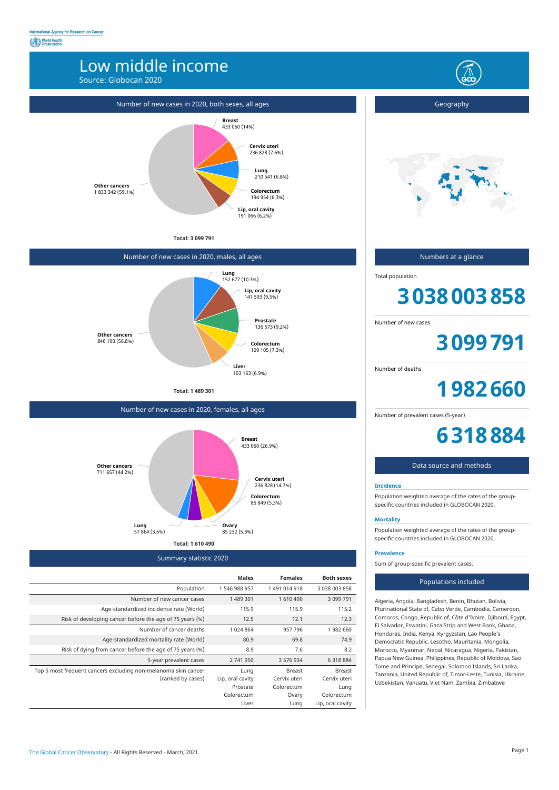## Low middle income

Source: Globocan 2020



Summary statistic 2020

|                                                                | <b>Males</b>     | <b>Females</b> | <b>Both sexes</b> |
|----------------------------------------------------------------|------------------|----------------|-------------------|
| Population                                                     | 1546988957       | 1 491 014 918  | 3 038 003 858     |
| Number of new cancer cases                                     | 1 489 301        | 1610490        | 3 099 791         |
| Age-standardized incidence rate (World)                        | 115.9            | 115.9          | 115.2             |
| Risk of developing cancer before the age of 75 years (%)       | 12.5             | 12.1           | 12.3              |
| Number of cancer deaths                                        | 1 0 24 8 64      | 957 796        | 1982 660          |
| Age-standardized mortality rate (World)                        | 80.9             | 69.8           | 74.9              |
| Risk of dying from cancer before the age of 75 years (%)       | 8.9              | 7.6            | 8.2               |
| 5-year prevalent cases                                         | 2 741 950        | 3 576 934      | 6 3 1 8 8 8 4     |
| Top 5 most frequent cancers excluding non-melanoma skin cancer | Lung             | <b>Breast</b>  | <b>Breast</b>     |
| (ranked by cases)                                              | Lip, oral cavity | Cervix uteri   | Cervix uteri      |
|                                                                | Prostate         | Colorectum     | Lung              |
|                                                                | Colorectum       | Ovary          | Colorectum        |
|                                                                | Liver            | Lung           | Lip, oral cavity  |
|                                                                |                  |                |                   |

**Total: 3 099 791**

#### Number of new cases in 2020, both sexes, all ages **Breast** 433 060 (14%) **Cervix uteri** 236 828 (7.6%) **Lung** 210 541 (6.8%) **Colorectum** 194 954 (6.3%) **Other cancers** 1 833 342 (59.1%)

**Lip, oral cavity** 191 066 (6.2%)

### Number of new cases in 2020, males, all ages

**Total: 1 489 301**



Number of new cases in 2020, females, all ages



Geography



Numbers at a glance

Total population

# **3038003858**

Number of new cases

**3099791**

Number of deaths

**1982660**

Number of prevalent cases (5-year)

**6318884**

#### Data source and methods

#### **Incidence**

Population weighted average of the rates of the groupspecific countries included in GLOBOCAN 2020.

#### **Mortality**

Population weighted average of the rates of the groupspecific countries included in GLOBOCAN 2020.

#### **Prevalence**

Sum of group-specific prevalent cases.

#### Populations included

Algeria, Angola, Bangladesh, Benin, Bhutan, Bolivia, Plurinational State of, Cabo Verde, Cambodia, Cameroon, Comoros, Congo, Republic of, Côte d'Ivoire, Djibouti, Egypt, El Salvador, Eswatini, Gaza Strip and West Bank, Ghana, Honduras, India, Kenya, Kyrgyzstan, Lao People's Democratic Republic, Lesotho, Mauritania, Mongolia, Morocco, Myanmar, Nepal, Nicaragua, Nigeria, Pakistan, Papua New Guinea, Philippines, Republic of Moldova, Sao Tome and Principe, Senegal, Solomon Islands, Sri Lanka, Tanzania, United Republic of, Timor-Leste, Tunisia, Ukraine, Uzbekistan, Vanuatu, Viet Nam, Zambia, Zimbabwe